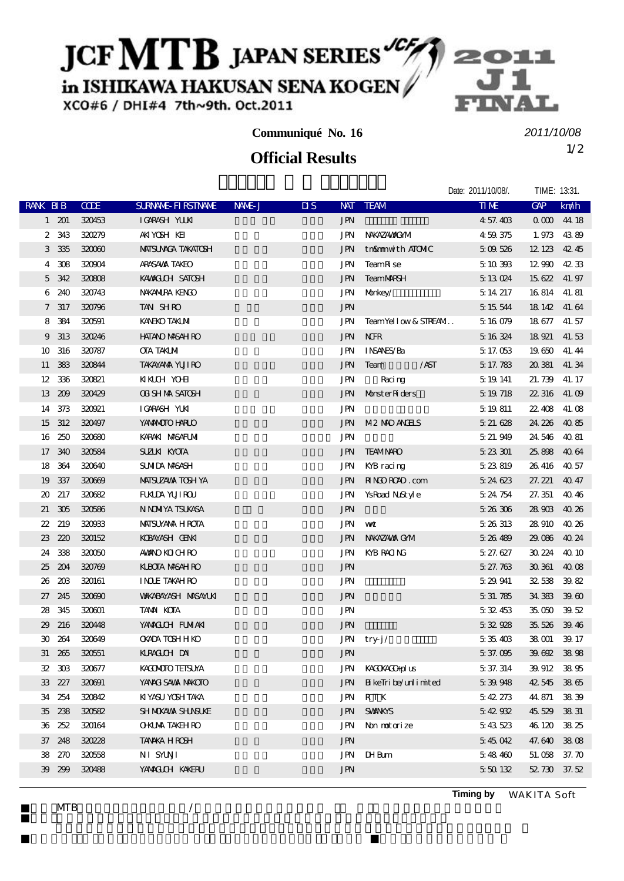## JCF MTB JAPAN SERIES

in ISHIKAWA HAKUSAN SENA KOGEN

XCO#6 / DHI#4 7th~9th. Oct.2011

### **Communiqué No. 16**

## 1/2 **Official Results**

*2011/10/08*

|              |              |        |                            |        |                         |            |                                                | Date: 2011/10/08/. | TIME: 13:31. |       |
|--------------|--------------|--------|----------------------------|--------|-------------------------|------------|------------------------------------------------|--------------------|--------------|-------|
| RANK BIB     |              | CCE    | SURNAME FIRSTNAME          | NAME J | $\overline{\mathbf{u}}$ |            | NAT TEAM                                       | <b>TIME</b>        | <b>GAP</b>   | km/h  |
|              | $1\quad201$  | 320453 | IGARASH YUUNI              |        |                         | JPN        |                                                | 4 57.403           | 00004418     |       |
| 2            | 343          | 320279 | AKIYOSH KEI                |        |                         | JPN        | NAKAZAWAYOM                                    | 459375             | 1.973 4389   |       |
|              | 3 3 3 5      | 320060 | <b>MAISUNACA TAKATOSH</b>  |        |                         | JPN        | tn&mmwithATOMIC                                | 509526             | 12 123 42 45 |       |
|              | 4 308        | 320904 | ARASAWA TAKEO              |        |                         | JPN        | TeamR <sub>se</sub>                            | 5 10 393           | 12 990 42 33 |       |
|              | 5 342        | 320808 | KAWALCH SATOSH             |        |                         | JPN        | <b>TeamMRSH</b>                                | 5 13 024           | 15 622 41.97 |       |
| 6            | 240          | 320743 | NAKANIRA KENGO             |        |                         | JPN        | Monkey/                                        | 5, 14, 217         | 16 814 41.81 |       |
|              | 7 317        | 320796 | TAN SHRO                   |        |                         | <b>JPN</b> |                                                | 5 15 544           | 18 142 41 64 |       |
| 8            | 384          | 320591 | <b>KANEKO TAKIMI</b>       |        |                         | JPN        | TeamYellow&STREAM                              | 5 16 079           | 18 677 41.57 |       |
| 9            | 313          | 320246 | <b>HATANO MASAH RO</b>     |        |                         | JPN        | <b>NHR</b>                                     | 5 16 324           | 18 921 41.53 |       |
| 10           | 316          | 320787 | <b>CTA TAKIMI</b>          |        |                         | JPN        | INSANES/Ba                                     | 5, 17, 053         | 19 650 41.44 |       |
|              | 11 383       | 320844 | <b>TAKAYANA YUJI RO</b>    |        |                         | JPN        | Team<br>/AST                                   | 5 17.783           | 20 381 41.34 |       |
| 12           | 336          | 320821 | <b>KKCH YOHI</b>           |        |                         | JPN        | Racing                                         | 5 19 141           | 21.739       | 41.17 |
| 13           | 209          | 320429 | <b>OT SH NA SATOSH</b>     |        |                         | <b>JPN</b> | Monster Riders                                 | 5 19 718           | 22 316 41.09 |       |
|              | 14 373       | 320921 | IGARASH YUKI               |        |                         | JPN        |                                                | 5 19 8 11          | 22.408 41.08 |       |
|              | 15 312       | 320497 | YANANOTO HARLO             |        |                         | <b>JPN</b> | M <sub>2</sub> M <sub>D</sub> ANH <sub>S</sub> | 5 21 628           | 24 226 40 85 |       |
|              | 16 250       | 320680 | KARAKI MASAFUMI            |        |                         | JPN        |                                                | 5, 21, 949         | 24 546 40 81 |       |
|              | 17 340       | 320584 | SUZLKI KYOTA               |        |                         | <b>JPN</b> | <b>TEAMNARO</b>                                | 523301             | 25,898 40.64 |       |
| 18           | 364          | 320640 | SUMIDA MASASH              |        |                         | JPN        | KYB racing                                     | 5 23 819           | 26.416 40.57 |       |
| 19           | 337          | 320669 | <b>MAISUZAVA TOSH YA</b>   |        |                         | JPN        | RINDROAD.com                                   | 524623             | 27.221 40.47 |       |
| $\infty$     | 217          | 320682 | <b>FUALDA YUJI ROU</b>     |        |                         | JPN        | YsRoad NuStyle                                 | 5.24 754           | 27.351       | 4046  |
| 21           | 305          | 320586 | N NOMYA TSUKASA            |        |                         | <b>JPN</b> |                                                | 526306             | 28 903 40 26 |       |
| 22           | 219          | 320033 | <b>MAISUYAMA H ROTA</b>    |        |                         | JPN        | ww                                             | 5 26 313           | 28 910       | 4026  |
| 23           | 220          | 320152 | KOBAYASH GENAT             |        |                         | JPN        | NAKAZAWA GM                                    | 526489             | 29.086 40.24 |       |
|              | 24 338       | 320050 | <b>AMANO KOLCH RO</b>      |        |                         | JPN        | KYB RACING                                     | 5 27.627           | 30 224 40 10 |       |
| 25           | 204          | 320769 | KUBOTA MASAH RO            |        |                         | <b>JPN</b> |                                                | 527.763            | 30 361 40 08 |       |
| 26           | 208          | 320161 | <b>INDE TAKAHRO</b>        |        |                         | JPN        |                                                | 5 29 941           | 32538 3982   |       |
| 27           | 245          | 320690 | <b>WAKABAYASH MASAYUKI</b> |        |                         | <b>JPN</b> |                                                | 5 31, 785          | 34 383 39 60 |       |
| 28           | 345          | 320001 | <b>TAMA KOTA</b>           |        |                         | JPN        |                                                | 532453             | 35,050 39,52 |       |
| 29           | 216          | 320448 | YANACICH FUNIAKI           |        |                         | <b>JPN</b> |                                                | 532928             | 35 526 39 46 |       |
| $30^{\circ}$ | 264          | 320649 | <b>CKADA TCSHHKO</b>       |        |                         | JPN        | try-j/                                         | 535403             | 38 CO1       | 39.17 |
|              | $31\quad265$ | 320551 | KLRACILH DAI               |        |                         | JPN        |                                                | 5 37.095           | 39.692 38.98 |       |
|              | $32 \t303$   | 320677 | KACMOTO TEISUYA            |        |                         | JPN        | KACCKACO-plus                                  | 5 37 314           | 39.912 38.95 |       |
|              | 33 227       | 320091 | YANACI SAWA MAKOTO         |        |                         | <b>JPN</b> | BikeTribe/unlimited                            | 539948             | 42545        | 3865  |
|              | 34 254       | 320842 | KIYASU YOSH TAKA           |        |                         | JPN        | R T K                                          | 542273             | 44 871       | 3839  |
|              | 35 238       | 320582 | SH NOKAVAX SHANSUKE        |        |                         | <b>JPN</b> | <b>SWINKIS</b>                                 | 542932             | 45 529 38 31 |       |
|              | 36 252       | 320164 | <b>OKIMA TAKEH RO</b>      |        |                         | JPN        | Non notorize                                   | 543523             | 46 120 38 25 |       |
|              | 37 248       | 320228 | <b>TANKA HROSH</b>         |        |                         | <b>JPN</b> |                                                | 545042             | 47.640 3808  |       |
|              | 38 270       | 320558 | NI SYUVI                   |        |                         |            | JPN IHBum                                      | 548460             | 51.058 37.70 |       |
|              | 39 29 9      | 320488 | YAMACLOH KAKERU            |        |                         | <b>JPN</b> |                                                | 550132             | 52 730 37.52 |       |
|              |              |        |                            |        |                         |            |                                                |                    |              |       |

 $MIB$   $\qquad \qquad \qquad$ 

**Timing by** *WAKITA Soft*